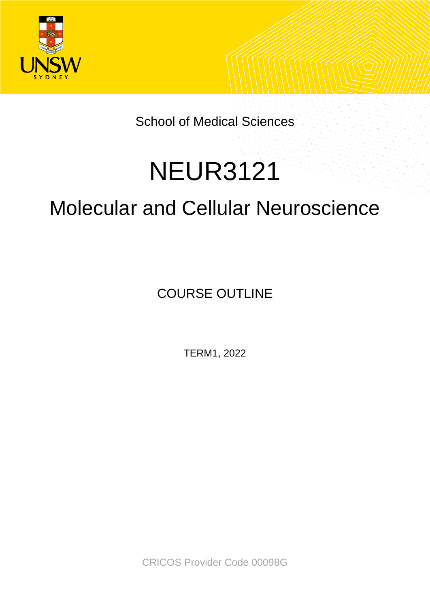

School of Medical Sciences

# NEUR3121

## Molecular and Cellular Neuroscience

COURSE OUTLINE

TERM1, 2022

CRICOS Provider Code 00098G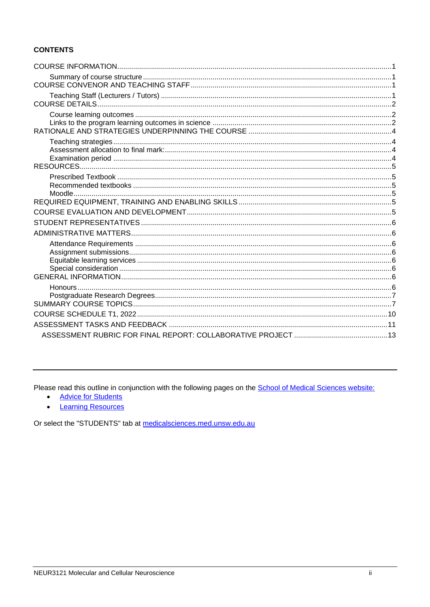### **CONTENTS**

Please read this outline in conjunction with the following pages on the **School of Medical Sciences website:** 

- **Advice for Students**  $\bullet$
- **Learning Resources**  $\bullet$

Or select the "STUDENTS" tab at medicalsciences.med.unsw.edu.au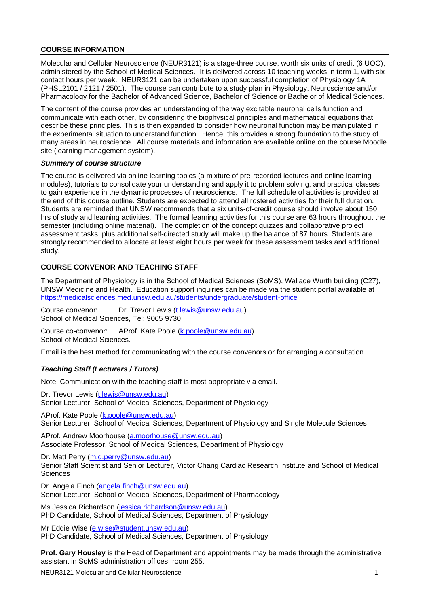#### <span id="page-2-0"></span>**COURSE INFORMATION**

Molecular and Cellular Neuroscience (NEUR3121) is a stage-three course, worth six units of credit (6 UOC), administered by the School of Medical Sciences. It is delivered across 10 teaching weeks in term 1, with six contact hours per week. NEUR3121 can be undertaken upon successful completion of Physiology 1A (PHSL2101 / 2121 / 2501). The course can contribute to a study plan in Physiology, Neuroscience and/or Pharmacology for the Bachelor of Advanced Science, Bachelor of Science or Bachelor of Medical Sciences.

The content of the course provides an understanding of the way excitable neuronal cells function and communicate with each other, by considering the biophysical principles and mathematical equations that describe these principles. This is then expanded to consider how neuronal function may be manipulated in the experimental situation to understand function. Hence, this provides a strong foundation to the study of many areas in neuroscience. All course materials and information are available online on the course Moodle site (learning management system).

#### <span id="page-2-1"></span>*Summary of course structure*

The course is delivered via online learning topics (a mixture of pre-recorded lectures and online learning modules), tutorials to consolidate your understanding and apply it to problem solving, and practical classes to gain experience in the dynamic processes of neuroscience. The full schedule of activities is provided at the end of this course outline. Students are expected to attend all rostered activities for their full duration. Students are reminded that UNSW recommends that a six units-of-credit course should involve about 150 hrs of study and learning activities. The formal learning activities for this course are 63 hours throughout the semester (including online material). The completion of the concept quizzes and collaborative project assessment tasks, plus additional self-directed study will make up the balance of 87 hours. Students are strongly recommended to allocate at least eight hours per week for these assessment tasks and additional study.

#### <span id="page-2-2"></span>**COURSE CONVENOR AND TEACHING STAFF**

The Department of Physiology is in the School of Medical Sciences (SoMS), Wallace Wurth building (C27), UNSW Medicine and Health. Education support inquiries can be made via the student portal available at <https://medicalsciences.med.unsw.edu.au/students/undergraduate/student-office>

Course convenor: Dr. Trevor Lewis [\(t.lewis@unsw.edu.au\)](mailto:t.lewis@unsw.edu.au) School of Medical Sciences, Tel: 9065 9730

Course co-convenor: AProf. Kate Poole [\(k.poole@unsw.edu.au\)](mailto:k.poole@unsw.edu.au) School of Medical Sciences.

Email is the best method for communicating with the course convenors or for arranging a consultation.

#### <span id="page-2-3"></span>*Teaching Staff (Lecturers / Tutors)*

Note: Communication with the teaching staff is most appropriate via email.

Dr. Trevor Lewis [\(t.lewis@unsw.edu.au\)](mailto:t.lewis@unsw.edu.au) Senior Lecturer, School of Medical Sciences, Department of Physiology

AProf. Kate Poole [\(k.poole@unsw.edu.au\)](mailto:k.poole@unsw.edu.au) Senior Lecturer, School of Medical Sciences, Department of Physiology and Single Molecule Sciences

AProf. Andrew Moorhouse [\(a.moorhouse@unsw.edu.au\)](mailto:a.moorhouse@unsw.edu.au) Associate Professor, School of Medical Sciences, Department of Physiology

Dr. Matt Perry [\(m.d.perry@unsw.edu.au\)](mailto:m.d.perry@unsw.edu.au)

Senior Staff Scientist and Senior Lecturer, Victor Chang Cardiac Research Institute and School of Medical **Sciences** 

Dr. Angela Finch [\(angela.finch@unsw.edu.au\)](mailto:angela.finch@unsw.edu.au) Senior Lecturer, School of Medical Sciences, Department of Pharmacology

Ms Jessica Richardson [\(jessica.richardson@unsw.edu.au\)](mailto:jessica.richardson@unsw.edu.au) PhD Candidate, School of Medical Sciences, Department of Physiology

Mr Eddie Wise [\(e.wise@student.unsw.edu.au\)](mailto:e.wise@student.unsw.edu.au) PhD Candidate, School of Medical Sciences, Department of Physiology

**Prof. Gary Housley** is the Head of Department and appointments may be made through the administrative assistant in SoMS administration offices, room 255.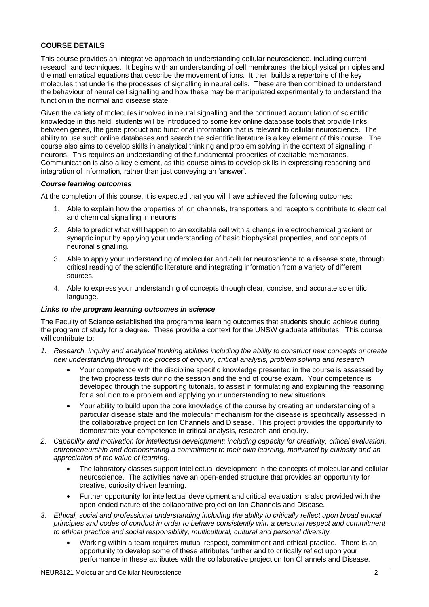#### <span id="page-3-0"></span>**COURSE DETAILS**

This course provides an integrative approach to understanding cellular neuroscience, including current research and techniques. It begins with an understanding of cell membranes, the biophysical principles and the mathematical equations that describe the movement of ions. It then builds a repertoire of the key molecules that underlie the processes of signalling in neural cells. These are then combined to understand the behaviour of neural cell signalling and how these may be manipulated experimentally to understand the function in the normal and disease state.

Given the variety of molecules involved in neural signalling and the continued accumulation of scientific knowledge in this field, students will be introduced to some key online database tools that provide links between genes, the gene product and functional information that is relevant to cellular neuroscience. The ability to use such online databases and search the scientific literature is a key element of this course. The course also aims to develop skills in analytical thinking and problem solving in the context of signalling in neurons. This requires an understanding of the fundamental properties of excitable membranes. Communication is also a key element, as this course aims to develop skills in expressing reasoning and integration of information, rather than just conveying an 'answer'.

#### <span id="page-3-1"></span>*Course learning outcomes*

At the completion of this course, it is expected that you will have achieved the following outcomes:

- 1. Able to explain how the properties of ion channels, transporters and receptors contribute to electrical and chemical signalling in neurons.
- 2. Able to predict what will happen to an excitable cell with a change in electrochemical gradient or synaptic input by applying your understanding of basic biophysical properties, and concepts of neuronal signalling.
- 3. Able to apply your understanding of molecular and cellular neuroscience to a disease state, through critical reading of the scientific literature and integrating information from a variety of different sources.
- 4. Able to express your understanding of concepts through clear, concise, and accurate scientific language.

#### <span id="page-3-2"></span>*Links to the program learning outcomes in science*

The Faculty of Science established the programme learning outcomes that students should achieve during the program of study for a degree. These provide a context for the UNSW graduate attributes. This course will contribute to:

- *1. Research, inquiry and analytical thinking abilities including the ability to construct new concepts or create new understanding through the process of enquiry, critical analysis, problem solving and research*
	- Your competence with the discipline specific knowledge presented in the course is assessed by the two progress tests during the session and the end of course exam. Your competence is developed through the supporting tutorials, to assist in formulating and explaining the reasoning for a solution to a problem and applying your understanding to new situations.
	- Your ability to build upon the core knowledge of the course by creating an understanding of a particular disease state and the molecular mechanism for the disease is specifically assessed in the collaborative project on Ion Channels and Disease. This project provides the opportunity to demonstrate your competence in critical analysis, research and enquiry.
- *2. Capability and motivation for intellectual development; including capacity for creativity, critical evaluation, entrepreneurship and demonstrating a commitment to their own learning, motivated by curiosity and an appreciation of the value of learning.*
	- The laboratory classes support intellectual development in the concepts of molecular and cellular neuroscience. The activities have an open-ended structure that provides an opportunity for creative, curiosity driven learning.
	- Further opportunity for intellectual development and critical evaluation is also provided with the open-ended nature of the collaborative project on Ion Channels and Disease.
- *3. Ethical, social and professional understanding including the ability to critically reflect upon broad ethical principles and codes of conduct in order to behave consistently with a personal respect and commitment to ethical practice and social responsibility, multicultural, cultural and personal diversity.*
	- Working within a team requires mutual respect, commitment and ethical practice. There is an opportunity to develop some of these attributes further and to critically reflect upon your performance in these attributes with the collaborative project on Ion Channels and Disease.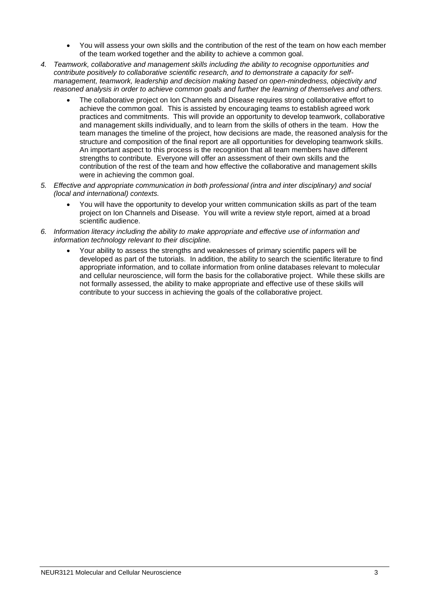- You will assess your own skills and the contribution of the rest of the team on how each member of the team worked together and the ability to achieve a common goal.
- *4. Teamwork, collaborative and management skills including the ability to recognise opportunities and contribute positively to collaborative scientific research, and to demonstrate a capacity for selfmanagement, teamwork, leadership and decision making based on open-mindedness, objectivity and reasoned analysis in order to achieve common goals and further the learning of themselves and others.*
	- The collaborative project on Ion Channels and Disease requires strong collaborative effort to achieve the common goal. This is assisted by encouraging teams to establish agreed work practices and commitments. This will provide an opportunity to develop teamwork, collaborative and management skills individually, and to learn from the skills of others in the team. How the team manages the timeline of the project, how decisions are made, the reasoned analysis for the structure and composition of the final report are all opportunities for developing teamwork skills. An important aspect to this process is the recognition that all team members have different strengths to contribute. Everyone will offer an assessment of their own skills and the contribution of the rest of the team and how effective the collaborative and management skills were in achieving the common goal.
- *5. Effective and appropriate communication in both professional (intra and inter disciplinary) and social (local and international) contexts.*
	- You will have the opportunity to develop your written communication skills as part of the team project on Ion Channels and Disease. You will write a review style report, aimed at a broad scientific audience.
- *6. Information literacy including the ability to make appropriate and effective use of information and information technology relevant to their discipline.*
	- Your ability to assess the strengths and weaknesses of primary scientific papers will be developed as part of the tutorials. In addition, the ability to search the scientific literature to find appropriate information, and to collate information from online databases relevant to molecular and cellular neuroscience, will form the basis for the collaborative project. While these skills are not formally assessed, the ability to make appropriate and effective use of these skills will contribute to your success in achieving the goals of the collaborative project.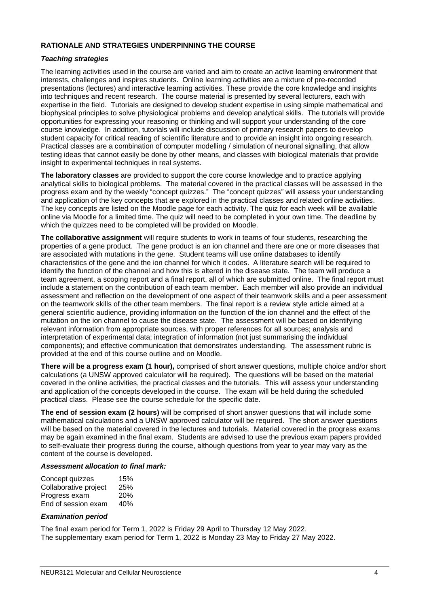#### <span id="page-5-1"></span><span id="page-5-0"></span>*Teaching strategies*

The learning activities used in the course are varied and aim to create an active learning environment that interests, challenges and inspires students. Online learning activities are a mixture of pre-recorded presentations (lectures) and interactive learning activities. These provide the core knowledge and insights into techniques and recent research. The course material is presented by several lecturers, each with expertise in the field. Tutorials are designed to develop student expertise in using simple mathematical and biophysical principles to solve physiological problems and develop analytical skills. The tutorials will provide opportunities for expressing your reasoning or thinking and will support your understanding of the core course knowledge. In addition, tutorials will include discussion of primary research papers to develop student capacity for critical reading of scientific literature and to provide an insight into ongoing research. Practical classes are a combination of computer modelling / simulation of neuronal signalling, that allow testing ideas that cannot easily be done by other means, and classes with biological materials that provide insight to experimental techniques in real systems.

**The laboratory classes** are provided to support the core course knowledge and to practice applying analytical skills to biological problems. The material covered in the practical classes will be assessed in the progress exam and by the weekly "concept quizzes." The "concept quizzes" will assess your understanding and application of the key concepts that are explored in the practical classes and related online activities. The key concepts are listed on the Moodle page for each activity. The quiz for each week will be available online via Moodle for a limited time. The quiz will need to be completed in your own time. The deadline by which the quizzes need to be completed will be provided on Moodle.

**The collaborative assignment** will require students to work in teams of four students, researching the properties of a gene product. The gene product is an ion channel and there are one or more diseases that are associated with mutations in the gene. Student teams will use online databases to identify characteristics of the gene and the ion channel for which it codes. A literature search will be required to identify the function of the channel and how this is altered in the disease state. The team will produce a team agreement, a scoping report and a final report, all of which are submitted online. The final report must include a statement on the contribution of each team member. Each member will also provide an individual assessment and reflection on the development of one aspect of their teamwork skills and a peer assessment on the teamwork skills of the other team members. The final report is a review style article aimed at a general scientific audience, providing information on the function of the ion channel and the effect of the mutation on the ion channel to cause the disease state. The assessment will be based on identifying relevant information from appropriate sources, with proper references for all sources; analysis and interpretation of experimental data; integration of information (not just summarising the individual components); and effective communication that demonstrates understanding. The assessment rubric is provided at the end of this course outline and on Moodle.

**There will be a progress exam (1 hour),** comprised of short answer questions, multiple choice and/or short calculations (a UNSW approved calculator will be required). The questions will be based on the material covered in the online activities, the practical classes and the tutorials. This will assess your understanding and application of the concepts developed in the course. The exam will be held during the scheduled practical class. Please see the course schedule for the specific date.

**The end of session exam (2 hours)** will be comprised of short answer questions that will include some mathematical calculations and a UNSW approved calculator will be required. The short answer questions will be based on the material covered in the lectures and tutorials. Material covered in the progress exams may be again examined in the final exam. Students are advised to use the previous exam papers provided to self-evaluate their progress during the course, although questions from year to year may vary as the content of the course is developed.

#### <span id="page-5-2"></span>*Assessment allocation to final mark:*

| Concept quizzes       | 15%        |
|-----------------------|------------|
| Collaborative project | 25%        |
| Progress exam         | <b>20%</b> |
| End of session exam   | 40%        |

#### <span id="page-5-3"></span>*Examination period*

The final exam period for Term 1, 2022 is Friday 29 April to Thursday 12 May 2022. The supplementary exam period for Term 1, 2022 is Monday 23 May to Friday 27 May 2022.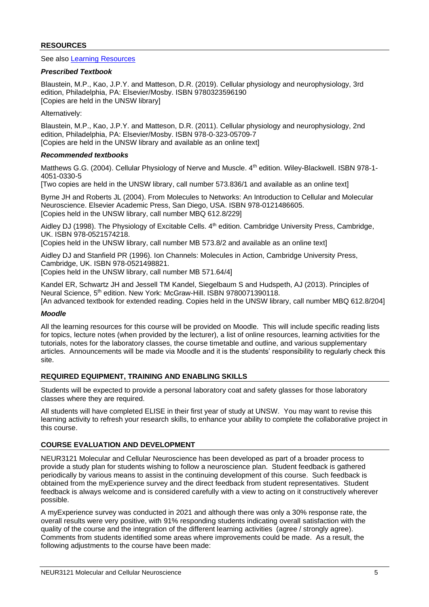#### <span id="page-6-0"></span>**RESOURCES**

See also [Learning Resources](http://medicalsciences.med.unsw.edu.au/students/undergraduate/learning-resources)

#### <span id="page-6-1"></span>*Prescribed Textbook*

Blaustein, M.P., Kao, J.P.Y. and Matteson, D.R. (2019). Cellular physiology and neurophysiology, 3rd edition, Philadelphia, PA: Elsevier/Mosby. ISBN 9780323596190 [Copies are held in the UNSW library]

Alternatively:

Blaustein, M.P., Kao, J.P.Y. and Matteson, D.R. (2011). Cellular physiology and neurophysiology, 2nd edition, Philadelphia, PA: Elsevier/Mosby. ISBN 978-0-323-05709-7 [Copies are held in the UNSW library and available as an online text]

#### <span id="page-6-2"></span>*Recommended textbooks*

Matthews G.G. (2004). Cellular Physiology of Nerve and Muscle. 4<sup>th</sup> edition. Wiley-Blackwell. ISBN 978-1-4051-0330-5

[Two copies are held in the UNSW library, call number 573.836/1 and available as an online text]

Byrne JH and Roberts JL (2004). From Molecules to Networks: An Introduction to Cellular and Molecular Neuroscience. Elsevier Academic Press, San Diego, USA. ISBN 978-0121486605. [Copies held in the UNSW library, call number MBQ 612.8/229]

Aidley DJ (1998). The Physiology of Excitable Cells, 4<sup>th</sup> edition. Cambridge University Press, Cambridge, UK. ISBN 978-0521574218.

[Copies held in the UNSW library, call number MB 573.8/2 and available as an online text]

Aidley DJ and Stanfield PR (1996). Ion Channels: Molecules in Action, Cambridge University Press, Cambridge, UK. ISBN 978-0521498821.

[Copies held in the UNSW library, call number MB 571.64/4]

Kandel ER, Schwartz JH and Jessell TM Kandel, Siegelbaum S and Hudspeth, AJ (2013). Principles of Neural Science, 5<sup>th</sup> edition. New York: McGraw-Hill. ISBN 9780071390118. [An advanced textbook for extended reading. Copies held in the UNSW library, call number MBQ 612.8/204]

#### <span id="page-6-3"></span>*Moodle*

All the learning resources for this course will be provided on Moodle. This will include specific reading lists for topics, lecture notes (when provided by the lecturer), a list of online resources, learning activities for the tutorials, notes for the laboratory classes, the course timetable and outline, and various supplementary articles. Announcements will be made via Moodle and it is the students' responsibility to regularly check this site.

#### <span id="page-6-4"></span>**REQUIRED EQUIPMENT, TRAINING AND ENABLING SKILLS**

Students will be expected to provide a personal laboratory coat and safety glasses for those laboratory classes where they are required.

All students will have completed ELISE in their first year of study at UNSW. You may want to revise this learning activity to refresh your research skills, to enhance your ability to complete the collaborative project in this course.

#### <span id="page-6-5"></span>**COURSE EVALUATION AND DEVELOPMENT**

NEUR3121 Molecular and Cellular Neuroscience has been developed as part of a broader process to provide a study plan for students wishing to follow a neuroscience plan. Student feedback is gathered periodically by various means to assist in the continuing development of this course. Such feedback is obtained from the myExperience survey and the direct feedback from student representatives. Student feedback is always welcome and is considered carefully with a view to acting on it constructively wherever possible.

A myExperience survey was conducted in 2021 and although there was only a 30% response rate, the overall results were very positive, with 91% responding students indicating overall satisfaction with the quality of the course and the integration of the different learning activities (agree / strongly agree). Comments from students identified some areas where improvements could be made. As a result, the following adjustments to the course have been made: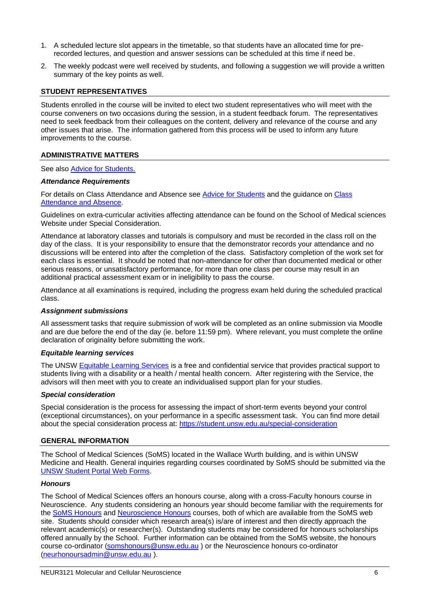- 1. A scheduled lecture slot appears in the timetable, so that students have an allocated time for prerecorded lectures, and question and answer sessions can be scheduled at this time if need be.
- 2. The weekly podcast were well received by students, and following a suggestion we will provide a written summary of the key points as well.

#### <span id="page-7-0"></span>**STUDENT REPRESENTATIVES**

Students enrolled in the course will be invited to elect two student representatives who will meet with the course conveners on two occasions during the session, in a student feedback forum. The representatives need to seek feedback from their colleagues on the content, delivery and relevance of the course and any other issues that arise. The information gathered from this process will be used to inform any future improvements to the course.

#### <span id="page-7-1"></span>**ADMINISTRATIVE MATTERS**

See also [Advice for Students.](http://medicalsciences.med.unsw.edu.au/students/undergraduate/advice-students)

#### <span id="page-7-2"></span>*Attendance Requirements*

For details on Class Attendance and Absence see [Advice for Students](http://medicalsciences.med.unsw.edu.au/students/undergraduate/advice-students#Attendance) and the guidance on [Class](https://student.unsw.edu.au/attendance)  [Attendance and](https://student.unsw.edu.au/attendance) Absence.

Guidelines on extra-curricular activities affecting attendance can be found on the School of Medical sciences Website under Special Consideration.

Attendance at laboratory classes and tutorials is compulsory and must be recorded in the class roll on the day of the class. It is your responsibility to ensure that the demonstrator records your attendance and no discussions will be entered into after the completion of the class. Satisfactory completion of the work set for each class is essential. It should be noted that non-attendance for other than documented medical or other serious reasons, or unsatisfactory performance, for more than one class per course may result in an additional practical assessment exam or in ineligibility to pass the course.

Attendance at all examinations is required, including the progress exam held during the scheduled practical class.

#### <span id="page-7-3"></span>*Assignment submissions*

All assessment tasks that require submission of work will be completed as an online submission via Moodle and are due before the end of the day (ie. before 11:59 pm). Where relevant, you must complete the online declaration of originality before submitting the work.

#### <span id="page-7-4"></span>*Equitable learning services*

The UNSW [Equitable Learning Services](https://student.unsw.edu.au/els) is a free and confidential service that provides practical support to students living with a disability or a health / mental health concern. After registering with the Service, the advisors will then meet with you to create an individualised support plan for your studies.

#### <span id="page-7-5"></span>*Special consideration*

Special consideration is the process for assessing the impact of short-term events beyond your control (exceptional circumstances), on your performance in a specific assessment task. You can find more detail about the special consideration process at:<https://student.unsw.edu.au/special-consideration>

#### <span id="page-7-6"></span>**GENERAL INFORMATION**

The School of Medical Sciences (SoMS) located in the Wallace Wurth building, and is within UNSW Medicine and Health. General inquiries regarding courses coordinated by SoMS should be submitted via the [UNSW Student Portal Web Forms.](https://medicalsciences.med.unsw.edu.au/students/undergraduate/student-office)

#### <span id="page-7-7"></span>*Honours*

The School of Medical Sciences offers an honours course, along with a cross-Faculty honours course in Neuroscience. Any students considering an honours year should become familiar with the requirements for the [SoMS Honours](http://medicalsciences.med.unsw.edu.au/students/soms-honours/overview) and [Neuroscience Honours](http://medicalsciences.med.unsw.edu.au/students/undergraduate/neuroscience/honours) courses, both of which are available from the SoMS web site. Students should consider which research area(s) is/are of interest and then directly approach the relevant academic(s) or researcher(s). Outstanding students may be considered for honours scholarships offered annually by the School. Further information can be obtained from the SoMS website, the honours course co-ordinator [\(somshonours@unsw.edu.au](mailto:somshonours@unsw.edu.au) ) or the Neuroscience honours co-ordinator [\(neurhonoursadmin@unsw.edu.au](mailto:neurhonoursadmin@unsw.edu.au) ).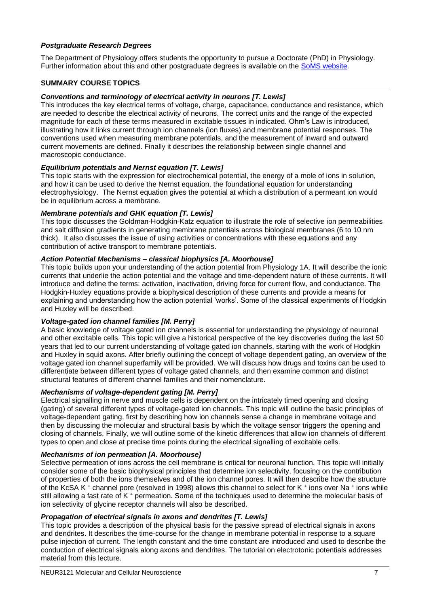#### <span id="page-8-0"></span>*Postgraduate Research Degrees*

The Department of Physiology offers students the opportunity to pursue a Doctorate (PhD) in Physiology. Further information about this and other postgraduate degrees is available on the [SoMS website.](https://medicalsciences.med.unsw.edu.au/students/postgraduate-research/overview)

#### <span id="page-8-1"></span>**SUMMARY COURSE TOPICS**

#### *Conventions and terminology of electrical activity in neurons [T. Lewis]*

This introduces the key electrical terms of voltage, charge, capacitance, conductance and resistance, which are needed to describe the electrical activity of neurons. The correct units and the range of the expected magnitude for each of these terms measured in excitable tissues in indicated. Ohm's Law is introduced, illustrating how it links current through ion channels (ion fluxes) and membrane potential responses. The conventions used when measuring membrane potentials, and the measurement of inward and outward current movements are defined. Finally it describes the relationship between single channel and macroscopic conductance.

#### *Equilibrium potentials and Nernst equation [T. Lewis]*

This topic starts with the expression for electrochemical potential, the energy of a mole of ions in solution, and how it can be used to derive the Nernst equation, the foundational equation for understanding electrophysiology. The Nernst equation gives the potential at which a distribution of a permeant ion would be in equilibrium across a membrane.

#### *Membrane potentials and GHK equation [T. Lewis]*

This topic discusses the Goldman-Hodgkin-Katz equation to illustrate the role of selective ion permeabilities and salt diffusion gradients in generating membrane potentials across biological membranes (6 to 10 nm thick). It also discusses the issue of using activities or concentrations with these equations and any contribution of active transport to membrane potentials.

#### *Action Potential Mechanisms – classical biophysics [A. Moorhouse]*

This topic builds upon your understanding of the action potential from Physiology 1A. It will describe the ionic currents that underlie the action potential and the voltage and time-dependent nature of these currents. It will introduce and define the terms: activation, inactivation, driving force for current flow, and conductance. The Hodgkin-Huxley equations provide a biophysical description of these currents and provide a means for explaining and understanding how the action potential 'works'. Some of the classical experiments of Hodgkin and Huxley will be described.

#### *Voltage-gated ion channel families [M. Perry]*

A basic knowledge of voltage gated ion channels is essential for understanding the physiology of neuronal and other excitable cells. This topic will give a historical perspective of the key discoveries during the last 50 years that led to our current understanding of voltage gated ion channels, starting with the work of Hodgkin and Huxley in squid axons. After briefly outlining the concept of voltage dependent gating, an overview of the voltage gated ion channel superfamily will be provided. We will discuss how drugs and toxins can be used to differentiate between different types of voltage gated channels, and then examine common and distinct structural features of different channel families and their nomenclature.

#### *Mechanisms of voltage-dependent gating [M. Perry]*

Electrical signalling in nerve and muscle cells is dependent on the intricately timed opening and closing (gating) of several different types of voltage-gated ion channels. This topic will outline the basic principles of voltage-dependent gating, first by describing how ion channels sense a change in membrane voltage and then by discussing the molecular and structural basis by which the voltage sensor triggers the opening and closing of channels. Finally, we will outline some of the kinetic differences that allow ion channels of different types to open and close at precise time points during the electrical signalling of excitable cells.

#### *Mechanisms of ion permeation [A. Moorhouse]*

Selective permeation of ions across the cell membrane is critical for neuronal function. This topic will initially consider some of the basic biophysical principles that determine ion selectivity, focusing on the contribution of properties of both the ions themselves and of the ion channel pores. It will then describe how the structure of the KcSA K<sup>+</sup> channel pore (resolved in 1998) allows this channel to select for K<sup>+</sup> ions over Na<sup>+</sup> ions while still allowing a fast rate of K <sup>+</sup> permeation. Some of the techniques used to determine the molecular basis of ion selectivity of glycine receptor channels will also be described.

#### *Propagation of electrical signals in axons and dendrites [T. Lewis]*

This topic provides a description of the physical basis for the passive spread of electrical signals in axons and dendrites. It describes the time-course for the change in membrane potential in response to a square pulse injection of current. The length constant and the time constant are introduced and used to describe the conduction of electrical signals along axons and dendrites. The tutorial on electrotonic potentials addresses material from this lecture.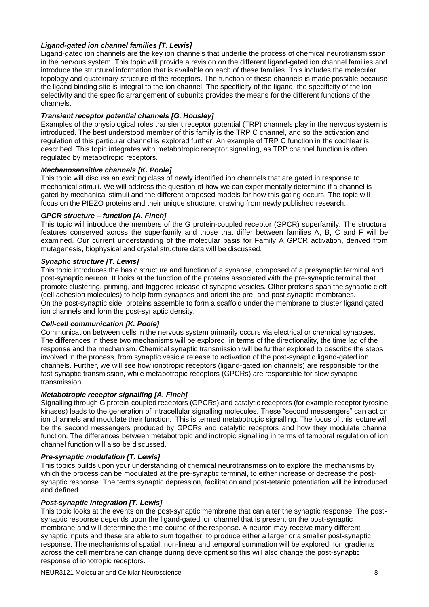#### *Ligand-gated ion channel families [T. Lewis]*

Ligand-gated ion channels are the key ion channels that underlie the process of chemical neurotransmission in the nervous system. This topic will provide a revision on the different ligand-gated ion channel families and introduce the structural information that is available on each of these families. This includes the molecular topology and quaternary structure of the receptors. The function of these channels is made possible because the ligand binding site is integral to the ion channel. The specificity of the ligand, the specificity of the ion selectivity and the specific arrangement of subunits provides the means for the different functions of the channels.

#### *Transient receptor potential channels [G. Housley]*

Examples of the physiological roles transient receptor potential (TRP) channels play in the nervous system is introduced. The best understood member of this family is the TRP C channel, and so the activation and regulation of this particular channel is explored further. An example of TRP C function in the cochlear is described. This topic integrates with metabotropic receptor signalling, as TRP channel function is often regulated by metabotropic receptors.

#### *Mechanosensitive channels [K. Poole]*

This topic will discuss an exciting class of newly identified ion channels that are gated in response to mechanical stimuli. We will address the question of how we can experimentally determine if a channel is gated by mechanical stimuli and the different proposed models for how this gating occurs. The topic will focus on the PIEZO proteins and their unique structure, drawing from newly published research.

#### *GPCR structure – function [A. Finch]*

This topic will introduce the members of the G protein-coupled receptor (GPCR) superfamily. The structural features conserved across the superfamily and those that differ between families A, B, C and F will be examined. Our current understanding of the molecular basis for Family A GPCR activation, derived from mutagenesis, biophysical and crystal structure data will be discussed.

#### *Synaptic structure [T. Lewis]*

This topic introduces the basic structure and function of a synapse, composed of a presynaptic terminal and post-synaptic neuron. It looks at the function of the proteins associated with the pre-synaptic terminal that promote clustering, priming, and triggered release of synaptic vesicles. Other proteins span the synaptic cleft (cell adhesion molecules) to help form synapses and orient the pre- and post-synaptic membranes. On the post-synaptic side, proteins assemble to form a scaffold under the membrane to cluster ligand gated ion channels and form the post-synaptic density.

#### *Cell-cell communication [K. Poole]*

Communication between cells in the nervous system primarily occurs via electrical or chemical synapses. The differences in these two mechanisms will be explored, in terms of the directionality, the time lag of the response and the mechanism. Chemical synaptic transmission will be further explored to describe the steps involved in the process, from synaptic vesicle release to activation of the post-synaptic ligand-gated ion channels. Further, we will see how ionotropic receptors (ligand-gated ion channels) are responsible for the fast-synaptic transmission, while metabotropic receptors (GPCRs) are responsible for slow synaptic transmission.

#### *Metabotropic receptor signalling [A. Finch]*

Signalling through G protein-coupled receptors (GPCRs) and catalytic receptors (for example receptor tyrosine kinases) leads to the generation of intracellular signalling molecules. These "second messengers" can act on ion channels and modulate their function. This is termed metabotropic signalling. The focus of this lecture will be the second messengers produced by GPCRs and catalytic receptors and how they modulate channel function. The differences between metabotropic and inotropic signalling in terms of temporal regulation of ion channel function will also be discussed.

#### *Pre-synaptic modulation [T. Lewis]*

This topics builds upon your understanding of chemical neurotransmission to explore the mechanisms by which the process can be modulated at the pre-synaptic terminal, to either increase or decrease the postsynaptic response. The terms synaptic depression, facilitation and post-tetanic potentiation will be introduced and defined.

#### *Post-synaptic integration [T. Lewis]*

This topic looks at the events on the post-synaptic membrane that can alter the synaptic response. The postsynaptic response depends upon the ligand-gated ion channel that is present on the post-synaptic membrane and will determine the time-course of the response. A neuron may receive many different synaptic inputs and these are able to sum together, to produce either a larger or a smaller post-synaptic response. The mechanisms of spatial, non-linear and temporal summation will be explored. Ion gradients across the cell membrane can change during development so this will also change the post-synaptic response of ionotropic receptors.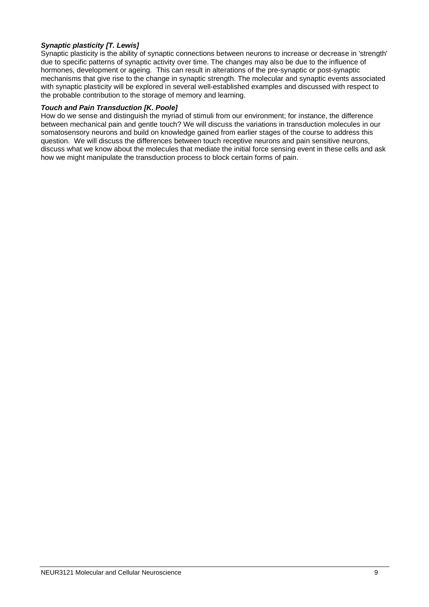#### *Synaptic plasticity [T. Lewis]*

Synaptic plasticity is the ability of synaptic connections between neurons to increase or decrease in 'strength' due to specific patterns of synaptic activity over time. The changes may also be due to the influence of hormones, development or ageing. This can result in alterations of the pre-synaptic or post-synaptic mechanisms that give rise to the change in synaptic strength. The molecular and synaptic events associated with synaptic plasticity will be explored in several well-established examples and discussed with respect to the probable contribution to the storage of memory and learning.

#### *Touch and Pain Transduction [K. Poole]*

How do we sense and distinguish the myriad of stimuli from our environment; for instance, the difference between mechanical pain and gentle touch? We will discuss the variations in transduction molecules in our somatosensory neurons and build on knowledge gained from earlier stages of the course to address this question. We will discuss the differences between touch receptive neurons and pain sensitive neurons, discuss what we know about the molecules that mediate the initial force sensing event in these cells and ask how we might manipulate the transduction process to block certain forms of pain.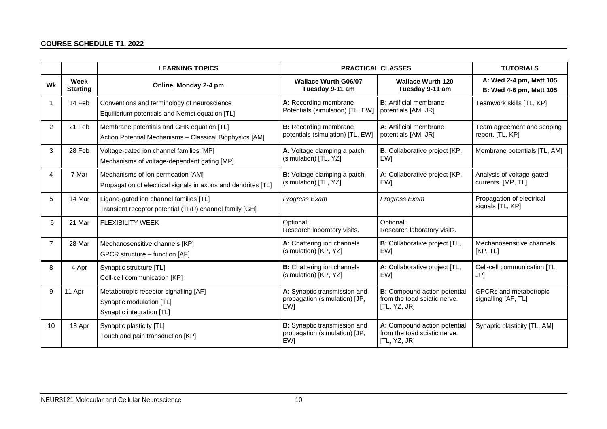#### **COURSE SCHEDULE T1, 2022**

<span id="page-11-0"></span>

|                |                         | <b>LEARNING TOPICS</b>                                                                               | <b>PRACTICAL CLASSES</b>                                             | <b>TUTORIALS</b>                                                                    |                                                    |
|----------------|-------------------------|------------------------------------------------------------------------------------------------------|----------------------------------------------------------------------|-------------------------------------------------------------------------------------|----------------------------------------------------|
| <b>Wk</b>      | Week<br><b>Starting</b> | Online, Monday 2-4 pm                                                                                | <b>Wallace Wurth G06/07</b><br>Tuesday 9-11 am                       | <b>Wallace Wurth 120</b><br>Tuesday 9-11 am                                         | A: Wed 2-4 pm, Matt 105<br>B: Wed 4-6 pm, Matt 105 |
|                | 14 Feb                  | Conventions and terminology of neuroscience<br>Equilibrium potentials and Nernst equation [TL]       | A: Recording membrane<br>Potentials (simulation) [TL, EW]            | <b>B:</b> Artificial membrane<br>potentials [AM, JR]                                | Teamwork skills [TL, KP]                           |
| $\overline{2}$ | 21 Feb                  | Membrane potentials and GHK equation [TL]<br>Action Potential Mechanisms - Classical Biophysics [AM] | <b>B:</b> Recording membrane<br>potentials (simulation) [TL, EW]     | A: Artificial membrane<br>potentials [AM, JR]                                       | Team agreement and scoping<br>report. [TL, KP]     |
| 3              | 28 Feb                  | Voltage-gated ion channel families [MP]<br>Mechanisms of voltage-dependent gating [MP]               | A: Voltage clamping a patch<br>(simulation) [TL, YZ]                 | B: Collaborative project [KP,<br>EW]                                                | Membrane potentials [TL, AM]                       |
| 4              | 7 Mar                   | Mechanisms of ion permeation [AM]<br>Propagation of electrical signals in axons and dendrites [TL]   | B: Voltage clamping a patch<br>(simulation) [TL, YZ]                 | A: Collaborative project [KP,<br>EW]                                                | Analysis of voltage-gated<br>currents. [MP, TL]    |
| 5              | 14 Mar                  | Ligand-gated ion channel families [TL]<br>Transient receptor potential (TRP) channel family [GH]     | Progress Exam                                                        | Progress Exam                                                                       | Propagation of electrical<br>signals [TL, KP]      |
| 6              | 21 Mar                  | <b>FLEXIBILITY WEEK</b>                                                                              | Optional:<br>Research laboratory visits.                             | Optional:<br>Research laboratory visits.                                            |                                                    |
| $\overline{7}$ | 28 Mar                  | Mechanosensitive channels [KP]<br>GPCR structure - function [AF]                                     | A: Chattering ion channels<br>(simulation) [KP, YZ]                  | <b>B:</b> Collaborative project [TL,<br>EW]                                         | Mechanosensitive channels.<br>[KP, TL]             |
| 8              | 4 Apr                   | Synaptic structure [TL]<br>Cell-cell communication [KP]                                              | <b>B:</b> Chattering ion channels<br>(simulation) [KP, YZ]           | A: Collaborative project [TL,<br>EW1                                                | Cell-cell communication [TL,<br>JP]                |
| 9              | 11 Apr                  | Metabotropic receptor signalling [AF]<br>Synaptic modulation [TL]<br>Synaptic integration [TL]       | A: Synaptic transmission and<br>propagation (simulation) [JP,<br>EW1 | <b>B:</b> Compound action potential<br>from the toad sciatic nerve.<br>[TL, YZ, JR] | GPCRs and metabotropic<br>signalling [AF, TL]      |
| 10             | 18 Apr                  | Synaptic plasticity [TL]<br>Touch and pain transduction [KP]                                         | B: Synaptic transmission and<br>propagation (simulation) [JP,<br>EW1 | A: Compound action potential<br>from the toad sciatic nerve.<br>[TL, YZ, JR]        | Synaptic plasticity [TL, AM]                       |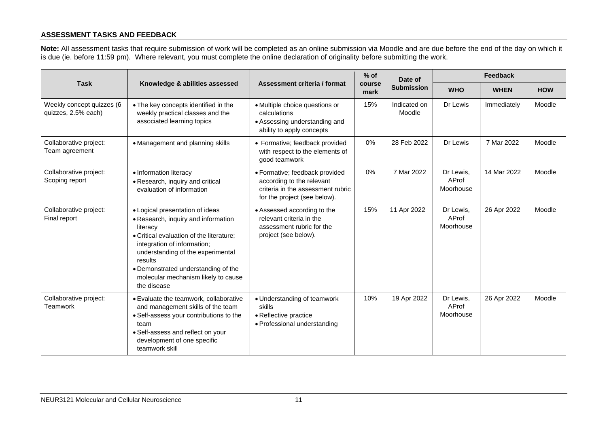#### **ASSESSMENT TASKS AND FEEDBACK**

**Note:** All assessment tasks that require submission of work will be completed as an online submission via Moodle and are due before the end of the day on which it is due (ie. before 11:59 pm). Where relevant, you must complete the online declaration of originality before submitting the work.

<span id="page-12-0"></span>

|                                                  |                                                                                                                                                                                                                                                                                                            |                                                                                                                                  | $%$ of         | Date of                | Feedback                        |             |            |
|--------------------------------------------------|------------------------------------------------------------------------------------------------------------------------------------------------------------------------------------------------------------------------------------------------------------------------------------------------------------|----------------------------------------------------------------------------------------------------------------------------------|----------------|------------------------|---------------------------------|-------------|------------|
| <b>Task</b>                                      | Knowledge & abilities assessed                                                                                                                                                                                                                                                                             | Assessment criteria / format                                                                                                     | course<br>mark | <b>Submission</b>      | <b>WHO</b>                      | <b>WHEN</b> | <b>HOW</b> |
| Weekly concept quizzes (6<br>quizzes, 2.5% each) | • The key concepts identified in the<br>weekly practical classes and the<br>associated learning topics                                                                                                                                                                                                     | • Multiple choice questions or<br>calculations<br>• Assessing understanding and<br>ability to apply concepts                     | 15%            | Indicated on<br>Moodle | Dr Lewis                        | Immediately | Moodle     |
| Collaborative project:<br>Team agreement         | • Management and planning skills                                                                                                                                                                                                                                                                           | • Formative; feedback provided<br>with respect to the elements of<br>good teamwork                                               | 0%             | 28 Feb 2022            | Dr Lewis                        | 7 Mar 2022  | Moodle     |
| Collaborative project:<br>Scoping report         | · Information literacy<br>• Research, inquiry and critical<br>evaluation of information                                                                                                                                                                                                                    | · Formative; feedback provided<br>according to the relevant<br>criteria in the assessment rubric<br>for the project (see below). | 0%             | 7 Mar 2022             | Dr Lewis,<br>AProf<br>Moorhouse | 14 Mar 2022 | Moodle     |
| Collaborative project:<br>Final report           | • Logical presentation of ideas<br>• Research, inquiry and information<br>literacy<br>• Critical evaluation of the literature;<br>integration of information;<br>understanding of the experimental<br>results<br>• Demonstrated understanding of the<br>molecular mechanism likely to cause<br>the disease | • Assessed according to the<br>relevant criteria in the<br>assessment rubric for the<br>project (see below).                     | 15%            | 11 Apr 2022            | Dr Lewis,<br>AProf<br>Moorhouse | 26 Apr 2022 | Moodle     |
| Collaborative project:<br>Teamwork               | • Evaluate the teamwork, collaborative<br>and management skills of the team<br>• Self-assess your contributions to the<br>team<br>• Self-assess and reflect on your<br>development of one specific<br>teamwork skill                                                                                       | • Understanding of teamwork<br>skills<br>• Reflective practice<br>• Professional understanding                                   | 10%            | 19 Apr 2022            | Dr Lewis,<br>AProf<br>Moorhouse | 26 Apr 2022 | Moodle     |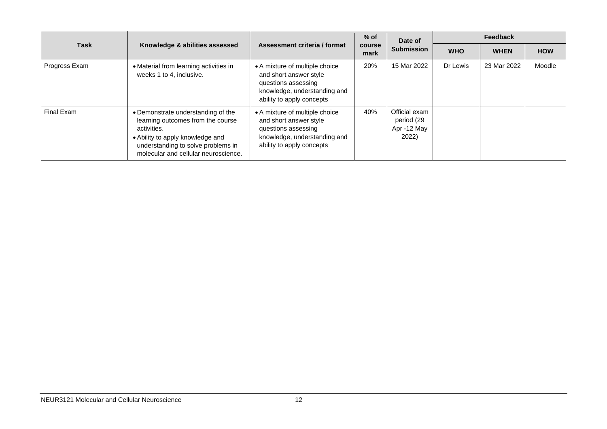|               |                                                                                                                                                                                                          |                                                                                                                                              | $%$ of<br><b>course</b><br>mark | Date of                                             | Feedback   |             |            |
|---------------|----------------------------------------------------------------------------------------------------------------------------------------------------------------------------------------------------------|----------------------------------------------------------------------------------------------------------------------------------------------|---------------------------------|-----------------------------------------------------|------------|-------------|------------|
| Task          | Knowledge & abilities assessed                                                                                                                                                                           | Assessment criteria / format                                                                                                                 |                                 | <b>Submission</b>                                   | <b>WHO</b> | <b>WHEN</b> | <b>HOW</b> |
| Progress Exam | • Material from learning activities in<br>weeks 1 to 4, inclusive.                                                                                                                                       | • A mixture of multiple choice<br>and short answer style<br>questions assessing<br>knowledge, understanding and<br>ability to apply concepts | 20%                             | 15 Mar 2022                                         | Dr Lewis   | 23 Mar 2022 | Moodle     |
| Final Exam    | • Demonstrate understanding of the<br>learning outcomes from the course<br>activities.<br>• Ability to apply knowledge and<br>understanding to solve problems in<br>molecular and cellular neuroscience. | • A mixture of multiple choice<br>and short answer style<br>questions assessing<br>knowledge, understanding and<br>ability to apply concepts | 40%                             | Official exam<br>period (29<br>Apr -12 May<br>2022) |            |             |            |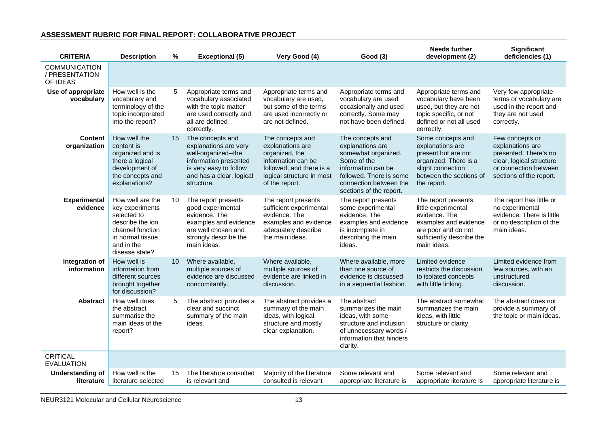#### <span id="page-14-0"></span>**CRITERIA Description % Exceptional (5) Very Good (4) Good (3) Needs further development (2) Significant deficiencies (1)** COMMUNICATION / PRESENTATION OF IDEAS **Use of appropriate vocabulary** How well is the vocabulary and terminology of the topic incorporated into the report? 5 Appropriate terms and vocabulary associated with the topic matter are used correctly and all are defined correctly. Appropriate terms and vocabulary are used, but some of the terms are used incorrectly or are not defined. Appropriate terms and vocabulary are used occasionally and used correctly. Some may not have been defined. Appropriate terms and vocabulary have been used, but they are not topic specific, or not defined or not all used correctly. Very few appropriate terms or vocabulary are used in the report and they are not used correctly. **Content organization** How well the content is organized and is there a logical development of the concepts and explanations? 15 The concepts and explanations are very well-organized--the information presented is very easy to follow and has a clear, logical structure. The concepts and explanations are organized, the information can be followed, and there is a logical structure in most of the report. The concepts and explanations are somewhat organized. Some of the information can be followed. There is some connection between the sections of the report. Some concepts and explanations are present but are not organized. There is a slight connection between the sections of the report. Few concepts or explanations are presented. There's no clear, logical structure or connection between sections of the report. **Experimental evidence** How well are the key experiments selected to describe the ion channel function in normal tissue and in the disease state? 10 The report presents good experimental evidence. The examples and evidence are well chosen and strongly describe the main ideas. The report presents sufficient experimental evidence. The examples and evidence adequately describe the main ideas. The report presents some experimental evidence. The examples and evidence is incomplete in describing the main ideas. The report presents little experimental evidence. The examples and evidence are poor and do not sufficiently describe the main ideas. The report has little or no experimental evidence. There is little or no description of the main ideas. **Integration of information** How well is information from different sources brought together for discussion? 10 Where available, multiple sources of evidence are discussed concomitantly. Where available, multiple sources of evidence are linked in discussion. Where available, more than one source of evidence is discussed in a sequential fashion. Limited evidence restricts the discussion to isolated concepts with little linking. Limited evidence from few sources, with an unstructured discussion. **Abstract** How well does the abstract summarise the main ideas of the report? 5 The abstract provides a clear and succinct summary of the main ideas. The abstract provides a summary of the main ideas, with logical structure and mostly clear explanation. The abstract summarizes the main ideas, with some structure and inclusion of unnecessary words / information that hinders clarity. The abstract somewhat summarizes the main ideas, with little structure or clarity. The abstract does not provide a summary of the topic or main ideas. **CRITICAL** EVALUATION **Understanding of literature** How well is the literature selected 15 The literature consulted is relevant and Majority of the literature consulted is relevant Some relevant and appropriate literature is Some relevant and appropriate literature is Some relevant and appropriate literature is

#### **ASSESSMENT RUBRIC FOR FINAL REPORT: COLLABORATIVE PROJECT**